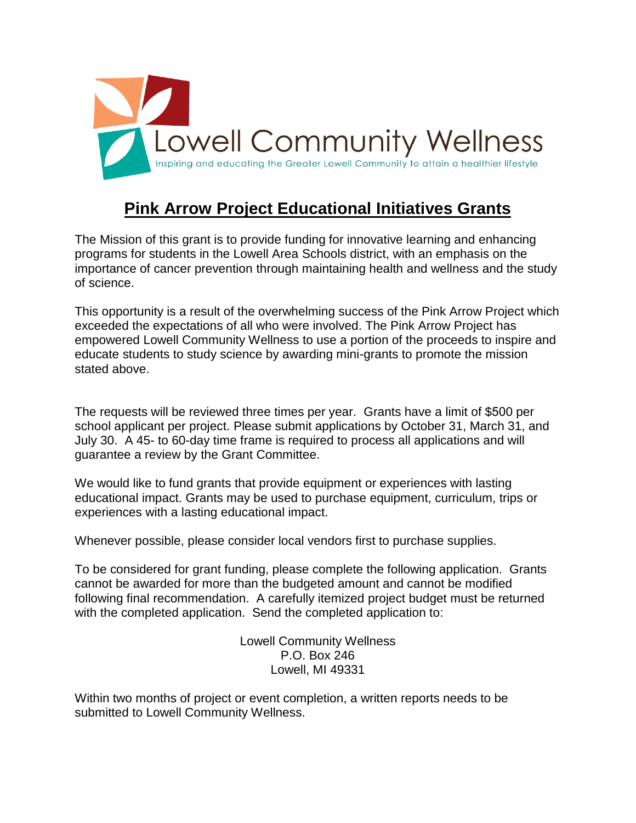

## **Pink Arrow Project Educational Initiatives Grants**

The Mission of this grant is to provide funding for innovative learning and enhancing programs for students in the Lowell Area Schools district, with an emphasis on the importance of cancer prevention through maintaining health and wellness and the study of science.

This opportunity is a result of the overwhelming success of the Pink Arrow Project which exceeded the expectations of all who were involved. The Pink Arrow Project has empowered Lowell Community Wellness to use a portion of the proceeds to inspire and educate students to study science by awarding mini-grants to promote the mission stated above.

The requests will be reviewed three times per year. Grants have a limit of \$500 per school applicant per project. Please submit applications by October 31, March 31, and July 30. A 45- to 60-day time frame is required to process all applications and will guarantee a review by the Grant Committee.

We would like to fund grants that provide equipment or experiences with lasting educational impact. Grants may be used to purchase equipment, curriculum, trips or experiences with a lasting educational impact.

Whenever possible, please consider local vendors first to purchase supplies.

To be considered for grant funding, please complete the following application. Grants cannot be awarded for more than the budgeted amount and cannot be modified following final recommendation. A carefully itemized project budget must be returned with the completed application. Send the completed application to:

> Lowell Community Wellness P.O. Box 246 Lowell, MI 49331

Within two months of project or event completion, a written reports needs to be submitted to Lowell Community Wellness.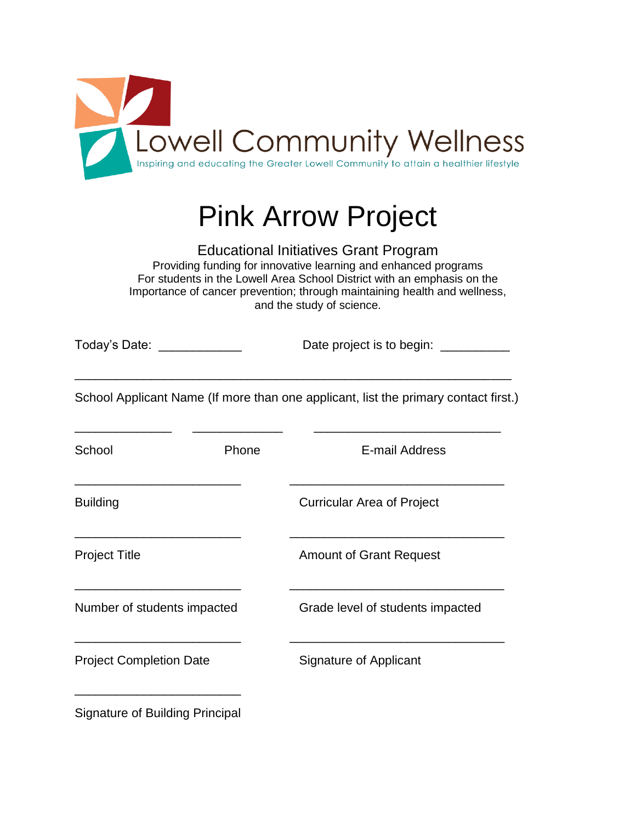

## Pink Arrow Project

Educational Initiatives Grant Program Providing funding for innovative learning and enhanced programs For students in the Lowell Area School District with an emphasis on the Importance of cancer prevention; through maintaining health and wellness, and the study of science.

| Today's Date: |  | Date project is to begin: |  |
|---------------|--|---------------------------|--|
|---------------|--|---------------------------|--|

\_\_\_\_\_\_\_\_\_\_\_\_\_\_\_\_\_\_\_\_\_\_\_\_\_\_\_\_\_\_\_\_\_\_\_\_\_\_\_\_\_\_\_\_\_\_\_\_\_\_\_\_\_\_\_\_\_\_\_\_\_\_\_

School Applicant Name (If more than one applicant, list the primary contact first.)

\_\_\_\_\_\_\_\_\_\_\_\_\_\_ \_\_\_\_\_\_\_\_\_\_\_\_\_ \_\_\_\_\_\_\_\_\_\_\_\_\_\_\_\_\_\_\_\_\_\_\_\_\_\_\_

| School                                 | Phone | E-mail Address                    |  |
|----------------------------------------|-------|-----------------------------------|--|
| <b>Building</b>                        |       | <b>Curricular Area of Project</b> |  |
| <b>Project Title</b>                   |       | <b>Amount of Grant Request</b>    |  |
| Number of students impacted            |       | Grade level of students impacted  |  |
| <b>Project Completion Date</b>         |       | Signature of Applicant            |  |
| <b>Signature of Building Principal</b> |       |                                   |  |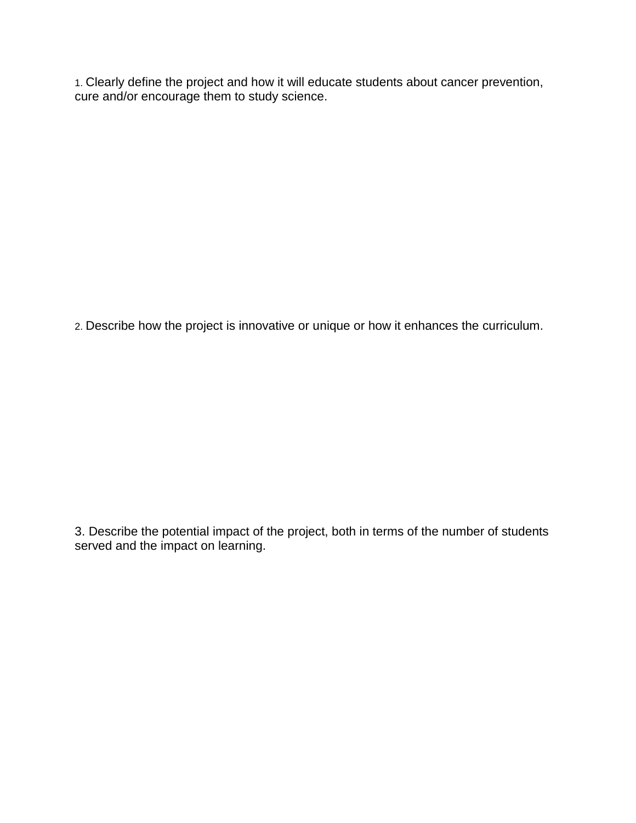1. Clearly define the project and how it will educate students about cancer prevention, cure and/or encourage them to study science.

2. Describe how the project is innovative or unique or how it enhances the curriculum.

3. Describe the potential impact of the project, both in terms of the number of students served and the impact on learning.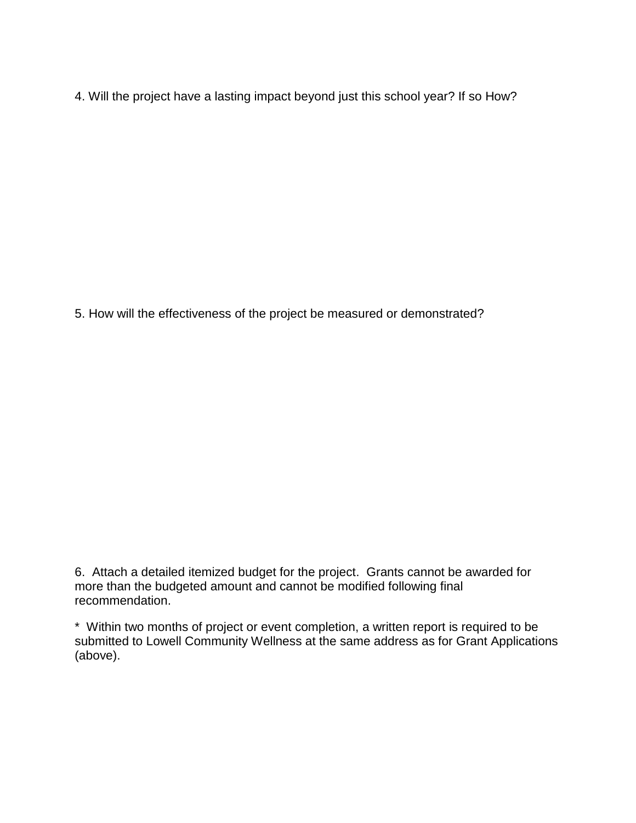4. Will the project have a lasting impact beyond just this school year? If so How?

5. How will the effectiveness of the project be measured or demonstrated?

6. Attach a detailed itemized budget for the project. Grants cannot be awarded for more than the budgeted amount and cannot be modified following final recommendation.

\* Within two months of project or event completion, a written report is required to be submitted to Lowell Community Wellness at the same address as for Grant Applications (above).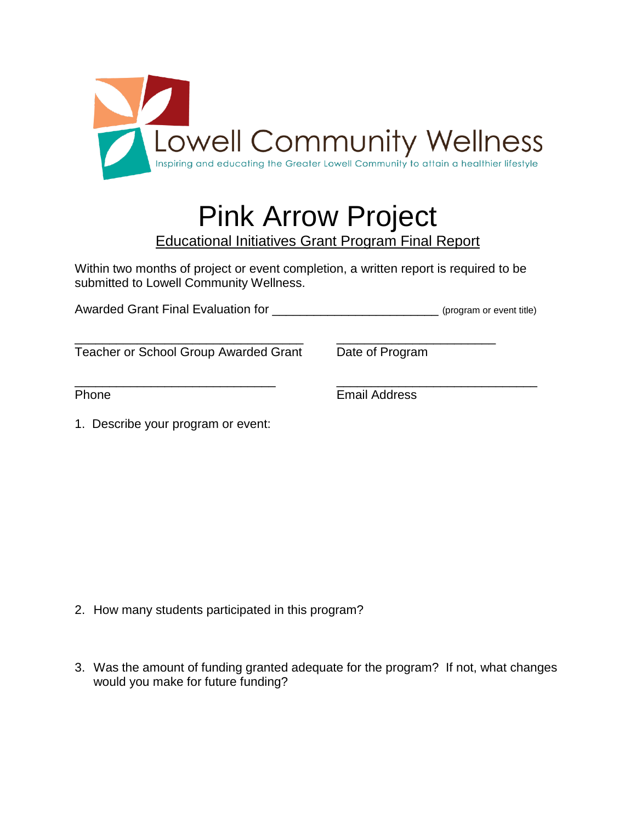

## Pink Arrow Project Educational Initiatives Grant Program Final Report

Within two months of project or event completion, a written report is required to be submitted to Lowell Community Wellness.

Awarded Grant Final Evaluation for **Accord 1997** (program or event title)

\_\_\_\_\_\_\_\_\_\_\_\_\_\_\_\_\_\_\_\_\_\_\_\_\_\_\_\_\_\_\_\_\_ \_\_\_\_\_\_\_\_\_\_\_\_\_\_\_\_\_\_\_\_\_\_\_ Teacher or School Group Awarded Grant Date of Program

\_\_\_\_\_\_\_\_\_\_\_\_\_\_\_\_\_\_\_\_\_\_\_\_\_\_\_\_\_ \_\_\_\_\_\_\_\_\_\_\_\_\_\_\_\_\_\_\_\_\_\_\_\_\_\_\_\_\_ Phone **Email Address** 

1. Describe your program or event:

- 2. How many students participated in this program?
- 3. Was the amount of funding granted adequate for the program? If not, what changes would you make for future funding?